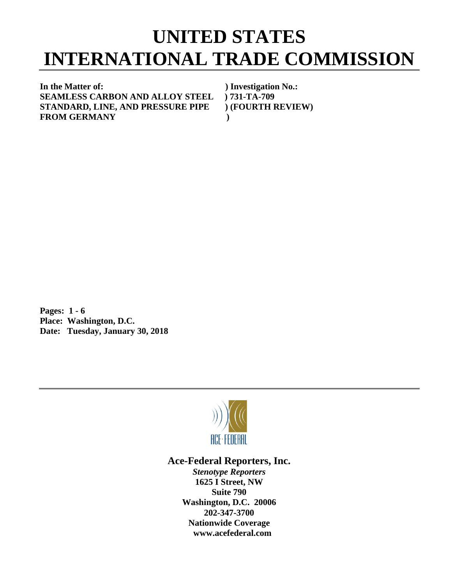## **UNITED STATES INTERNATIONAL TRADE COMMISSION**

**In the Matter of: ) Investigation No.: SEAMLESS CARBON AND ALLOY STEEL ) 731-TA-709 STANDARD, LINE, AND PRESSURE PIPE ) (FOURTH REVIEW) FROM GERMANY )**

**Pages: 1 - 6 Place: Washington, D.C. Date: Tuesday, January 30, 2018**



## **Ace-Federal Reporters, Inc.**

*Stenotype Reporters* **1625 I Street, NW Suite 790 Washington, D.C. 20006 202-347-3700 Nationwide Coverage www.acefederal.com**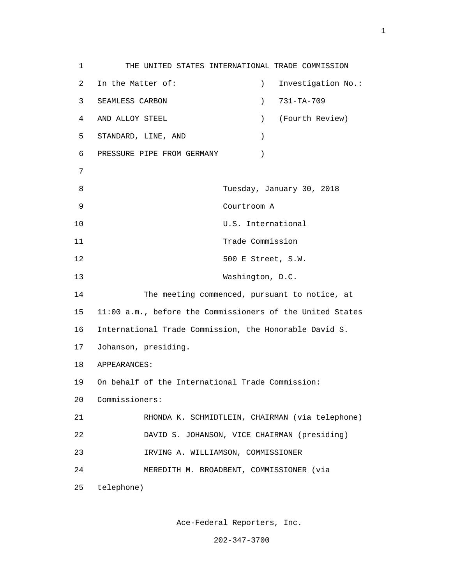1 THE UNITED STATES INTERNATIONAL TRADE COMMISSION 2 In the Matter of: ) Investigation No.: 3 SEAMLESS CARBON ) 731-TA-709 4 AND ALLOY STEEL ) (Fourth Review) 5 STANDARD, LINE, AND ) 6 PRESSURE PIPE FROM GERMANY ) 7 8 Tuesday, January 30, 2018 9 Courtroom A 10 U.S. International 11 Trade Commission 12 500 E Street, S.W. 13 Washington, D.C. 14 The meeting commenced, pursuant to notice, at 15 11:00 a.m., before the Commissioners of the United States 16 International Trade Commission, the Honorable David S. 17 Johanson, presiding. 18 APPEARANCES: 19 On behalf of the International Trade Commission: 20 Commissioners: 21 RHONDA K. SCHMIDTLEIN, CHAIRMAN (via telephone) 22 DAVID S. JOHANSON, VICE CHAIRMAN (presiding) 23 IRVING A. WILLIAMSON, COMMISSIONER 24 MEREDITH M. BROADBENT, COMMISSIONER (via 25 telephone)

Ace-Federal Reporters, Inc.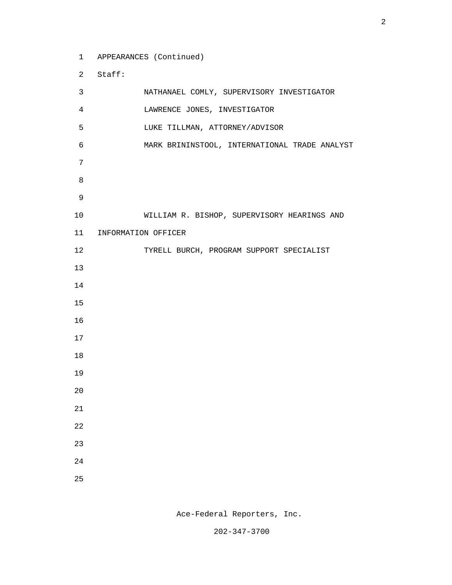1 APPEARANCES (Continued)

2 Staff:

 3 NATHANAEL COMLY, SUPERVISORY INVESTIGATOR 4 LAWRENCE JONES, INVESTIGATOR 5 LUKE TILLMAN, ATTORNEY/ADVISOR 6 MARK BRININSTOOL, INTERNATIONAL TRADE ANALYST 7 e a seu ann an 1882. Bha an 1892 an 1892 an 1892 an 1892 an 1892. Bha an 1892 an 1892 an 1892 an 1892 an 1892 9 10 WILLIAM R. BISHOP, SUPERVISORY HEARINGS AND 11 INFORMATION OFFICER 12 TYRELL BURCH, PROGRAM SUPPORT SPECIALIST 13 14 15 16 17 18 19 20 21 22 23 24 25

Ace-Federal Reporters, Inc.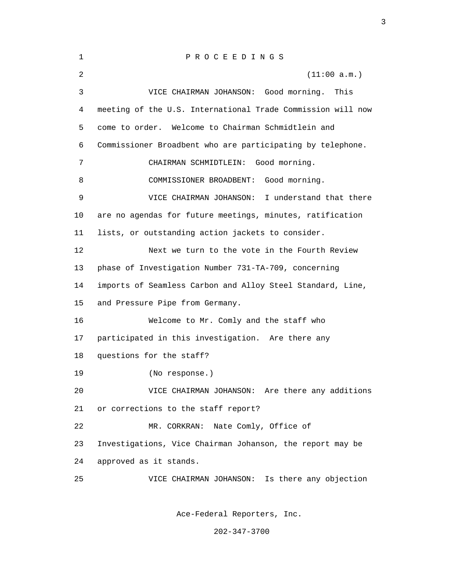| 1              | PROCEEDINGS                                                 |
|----------------|-------------------------------------------------------------|
| $\overline{2}$ | (11:00 a.m.)                                                |
| 3              | VICE CHAIRMAN JOHANSON: Good morning.<br>This               |
| 4              | meeting of the U.S. International Trade Commission will now |
| 5              | Welcome to Chairman Schmidtlein and<br>come to order.       |
| 6              | Commissioner Broadbent who are participating by telephone.  |
| 7              | Good morning.<br>CHAIRMAN SCHMIDTLEIN:                      |
| 8              | Good morning.<br>COMMISSIONER BROADBENT:                    |
| 9              | I understand that there<br>VICE CHAIRMAN JOHANSON:          |
| 10             | are no agendas for future meetings, minutes, ratification   |
| 11             | lists, or outstanding action jackets to consider.           |
| 12             | Next we turn to the vote in the Fourth Review               |
| 13             | phase of Investigation Number 731-TA-709, concerning        |
| 14             | imports of Seamless Carbon and Alloy Steel Standard, Line,  |
| 15             | and Pressure Pipe from Germany.                             |
| 16             | Welcome to Mr. Comly and the staff who                      |
| 17             | participated in this investigation. Are there any           |
| 18             | questions for the staff?                                    |
| 19             | (No response.)                                              |
| 20             | VICE CHAIRMAN JOHANSON: Are there any additions             |
| 21             | or corrections to the staff report?                         |
| 22             | Nate Comly, Office of<br>MR. CORKRAN:                       |
| 23             | Investigations, Vice Chairman Johanson, the report may be   |
| 24             | approved as it stands.                                      |
| 25             | Is there any objection<br>VICE CHAIRMAN JOHANSON:           |
|                |                                                             |

<u>3</u>

Ace-Federal Reporters, Inc.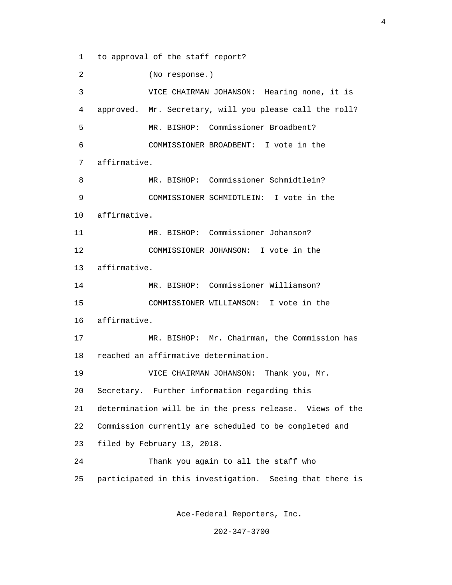1 to approval of the staff report?

 2 (No response.) 3 VICE CHAIRMAN JOHANSON: Hearing none, it is 4 approved. Mr. Secretary, will you please call the roll? 5 MR. BISHOP: Commissioner Broadbent? 6 COMMISSIONER BROADBENT: I vote in the 7 affirmative. 8 MR. BISHOP: Commissioner Schmidtlein? 9 COMMISSIONER SCHMIDTLEIN: I vote in the 10 affirmative. 11 MR. BISHOP: Commissioner Johanson? 12 COMMISSIONER JOHANSON: I vote in the 13 affirmative. 14 MR. BISHOP: Commissioner Williamson? 15 COMMISSIONER WILLIAMSON: I vote in the 16 affirmative. 17 MR. BISHOP: Mr. Chairman, the Commission has 18 reached an affirmative determination. 19 VICE CHAIRMAN JOHANSON: Thank you, Mr. 20 Secretary. Further information regarding this 21 determination will be in the press release. Views of the 22 Commission currently are scheduled to be completed and 23 filed by February 13, 2018. 24 Thank you again to all the staff who 25 participated in this investigation. Seeing that there is

Ace-Federal Reporters, Inc.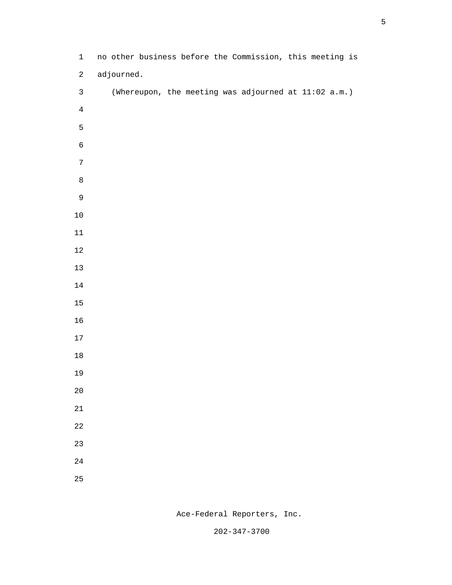| $1\,$            | no other business before the Commission, this meeting is |
|------------------|----------------------------------------------------------|
| $\overline{a}$   | adjourned.                                               |
| $\mathsf{3}$     | (Whereupon, the meeting was adjourned at 11:02 a.m.)     |
| $\overline{4}$   |                                                          |
| 5                |                                                          |
| $\epsilon$       |                                                          |
| $\boldsymbol{7}$ |                                                          |
| $\,8\,$          |                                                          |
| 9                |                                                          |
| $10\,$           |                                                          |
| $11\,$           |                                                          |
| $12\,$           |                                                          |
| $13\,$           |                                                          |
| $14\,$           |                                                          |
| 15               |                                                          |
| $16\,$           |                                                          |
| $17\,$           |                                                          |
| $18\,$           |                                                          |
| 19               |                                                          |
| $2\,0$           |                                                          |
| $21\,$           |                                                          |
| 22               |                                                          |
| 23               |                                                          |
| 24               |                                                          |
| 25               |                                                          |
|                  |                                                          |

Ace-Federal Reporters, Inc.